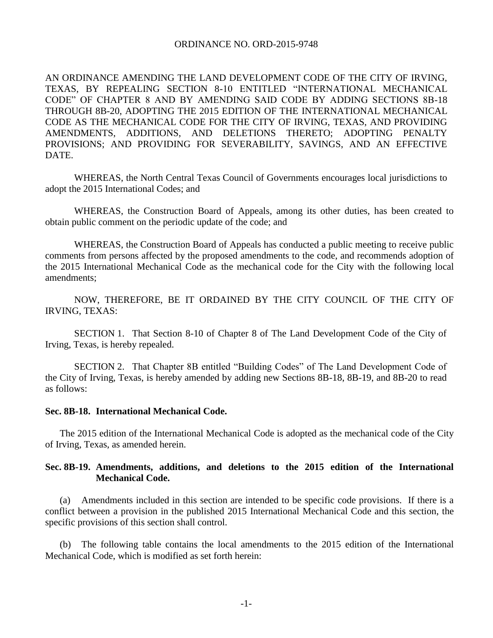### ORDINANCE NO. ORD-2015-9748

AN ORDINANCE AMENDING THE LAND DEVELOPMENT CODE OF THE CITY OF IRVING, TEXAS, BY REPEALING SECTION 8-10 ENTITLED "INTERNATIONAL MECHANICAL CODE" OF CHAPTER 8 AND BY AMENDING SAID CODE BY ADDING SECTIONS 8B-18 THROUGH 8B-20, ADOPTING THE 2015 EDITION OF THE INTERNATIONAL MECHANICAL CODE AS THE MECHANICAL CODE FOR THE CITY OF IRVING, TEXAS, AND PROVIDING AMENDMENTS, ADDITIONS, AND DELETIONS THERETO; ADOPTING PENALTY PROVISIONS; AND PROVIDING FOR SEVERABILITY, SAVINGS, AND AN EFFECTIVE DATE.

WHEREAS, the North Central Texas Council of Governments encourages local jurisdictions to adopt the 2015 International Codes; and

WHEREAS, the Construction Board of Appeals, among its other duties, has been created to obtain public comment on the periodic update of the code; and

WHEREAS, the Construction Board of Appeals has conducted a public meeting to receive public comments from persons affected by the proposed amendments to the code, and recommends adoption of the 2015 International Mechanical Code as the mechanical code for the City with the following local amendments;

NOW, THEREFORE, BE IT ORDAINED BY THE CITY COUNCIL OF THE CITY OF IRVING, TEXAS:

SECTION 1. That Section 8-10 of Chapter 8 of The Land Development Code of the City of Irving, Texas, is hereby repealed.

SECTION 2. That Chapter 8B entitled "Building Codes" of The Land Development Code of the City of Irving, Texas, is hereby amended by adding new Sections 8B-18, 8B-19, and 8B-20 to read as follows:

#### **Sec. 8B-18. International Mechanical Code.**

The 2015 edition of the International Mechanical Code is adopted as the mechanical code of the City of Irving, Texas, as amended herein.

# **Sec. 8B-19. Amendments, additions, and deletions to the 2015 edition of the International Mechanical Code.**

(a) Amendments included in this section are intended to be specific code provisions. If there is a conflict between a provision in the published 2015 International Mechanical Code and this section, the specific provisions of this section shall control.

(b) The following table contains the local amendments to the 2015 edition of the International Mechanical Code, which is modified as set forth herein: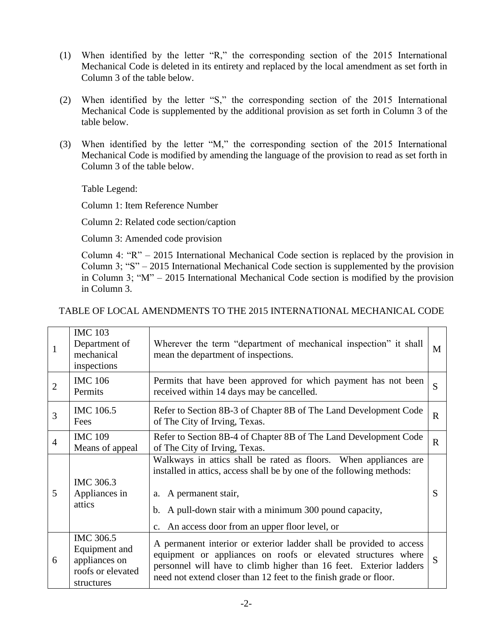- (1) When identified by the letter "R," the corresponding section of the 2015 International Mechanical Code is deleted in its entirety and replaced by the local amendment as set forth in Column 3 of the table below.
- (2) When identified by the letter "S," the corresponding section of the 2015 International Mechanical Code is supplemented by the additional provision as set forth in Column 3 of the table below.
- (3) When identified by the letter "M," the corresponding section of the 2015 International Mechanical Code is modified by amending the language of the provision to read as set forth in Column 3 of the table below.

Table Legend:

Column 1: Item Reference Number

Column 2: Related code section/caption

Column 3: Amended code provision

Column 4: "R" – 2015 International Mechanical Code section is replaced by the provision in Column 3; "S" – 2015 International Mechanical Code section is supplemented by the provision in Column 3; "M" – 2015 International Mechanical Code section is modified by the provision in Column 3.

| TABLE OF LOCAL AMENDMENTS TO THE 2015 INTERNATIONAL MECHANICAL CODE |  |  |  |
|---------------------------------------------------------------------|--|--|--|
|                                                                     |  |  |  |

| $\mathbf{1}$   | <b>IMC 103</b><br>Department of<br>mechanical<br>inspections                   | Wherever the term "department of mechanical inspection" it shall<br>mean the department of inspections.                                                                                                                                                                                                |             |
|----------------|--------------------------------------------------------------------------------|--------------------------------------------------------------------------------------------------------------------------------------------------------------------------------------------------------------------------------------------------------------------------------------------------------|-------------|
| $\overline{2}$ | <b>IMC 106</b><br>Permits                                                      | Permits that have been approved for which payment has not been<br>received within 14 days may be cancelled.                                                                                                                                                                                            |             |
| $\overline{3}$ | IMC 106.5<br>Fees                                                              | Refer to Section 8B-3 of Chapter 8B of The Land Development Code<br>of The City of Irving, Texas.                                                                                                                                                                                                      | $\mathbf R$ |
| $\overline{4}$ | <b>IMC 109</b><br>Means of appeal                                              | Refer to Section 8B-4 of Chapter 8B of The Land Development Code<br>of The City of Irving, Texas.                                                                                                                                                                                                      | $\mathbf R$ |
| 5              | IMC 306.3<br>Appliances in<br>attics                                           | Walkways in attics shall be rated as floors. When appliances are<br>installed in attics, access shall be by one of the following methods:<br>a. A permanent stair,<br>A pull-down stair with a minimum 300 pound capacity,<br>$b_{1}$<br>An access door from an upper floor level, or<br>$C_{\bullet}$ | S           |
| 6              | IMC 306.5<br>Equipment and<br>appliances on<br>roofs or elevated<br>structures | A permanent interior or exterior ladder shall be provided to access<br>equipment or appliances on roofs or elevated structures where<br>personnel will have to climb higher than 16 feet. Exterior ladders<br>need not extend closer than 12 feet to the finish grade or floor.                        | S           |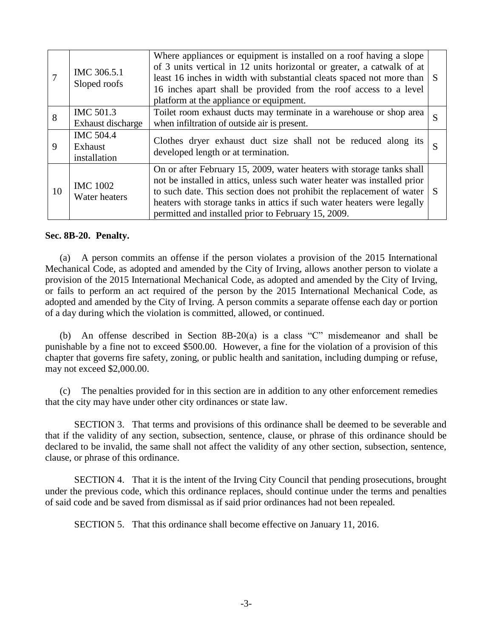|    | IMC 306.5.1<br>Sloped roofs                 | Where appliances or equipment is installed on a roof having a slope<br>of 3 units vertical in 12 units horizontal or greater, a catwalk of at<br>least 16 inches in width with substantial cleats spaced not more than<br>16 inches apart shall be provided from the roof access to a level<br>platform at the appliance or equipment.                       |  |
|----|---------------------------------------------|--------------------------------------------------------------------------------------------------------------------------------------------------------------------------------------------------------------------------------------------------------------------------------------------------------------------------------------------------------------|--|
| 8  | IMC 501.3<br>Exhaust discharge              | Toilet room exhaust ducts may terminate in a warehouse or shop area<br>when infiltration of outside air is present.                                                                                                                                                                                                                                          |  |
| 9  | <b>IMC 504.4</b><br>Exhaust<br>installation | Clothes dryer exhaust duct size shall not be reduced along its<br>developed length or at termination.                                                                                                                                                                                                                                                        |  |
| 10 | <b>IMC 1002</b><br>Water heaters            | On or after February 15, 2009, water heaters with storage tanks shall<br>not be installed in attics, unless such water heater was installed prior<br>to such date. This section does not prohibit the replacement of water<br>heaters with storage tanks in attics if such water heaters were legally<br>permitted and installed prior to February 15, 2009. |  |

## **Sec. 8B-20. Penalty.**

(a) A person commits an offense if the person violates a provision of the 2015 International Mechanical Code, as adopted and amended by the City of Irving, allows another person to violate a provision of the 2015 International Mechanical Code, as adopted and amended by the City of Irving, or fails to perform an act required of the person by the 2015 International Mechanical Code, as adopted and amended by the City of Irving. A person commits a separate offense each day or portion of a day during which the violation is committed, allowed, or continued.

(b) An offense described in Section 8B-20(a) is a class "C" misdemeanor and shall be punishable by a fine not to exceed \$500.00. However, a fine for the violation of a provision of this chapter that governs fire safety, zoning, or public health and sanitation, including dumping or refuse, may not exceed \$2,000.00.

(c) The penalties provided for in this section are in addition to any other enforcement remedies that the city may have under other city ordinances or state law.

SECTION 3. That terms and provisions of this ordinance shall be deemed to be severable and that if the validity of any section, subsection, sentence, clause, or phrase of this ordinance should be declared to be invalid, the same shall not affect the validity of any other section, subsection, sentence, clause, or phrase of this ordinance.

SECTION 4. That it is the intent of the Irving City Council that pending prosecutions, brought under the previous code, which this ordinance replaces, should continue under the terms and penalties of said code and be saved from dismissal as if said prior ordinances had not been repealed.

SECTION 5. That this ordinance shall become effective on January 11, 2016.